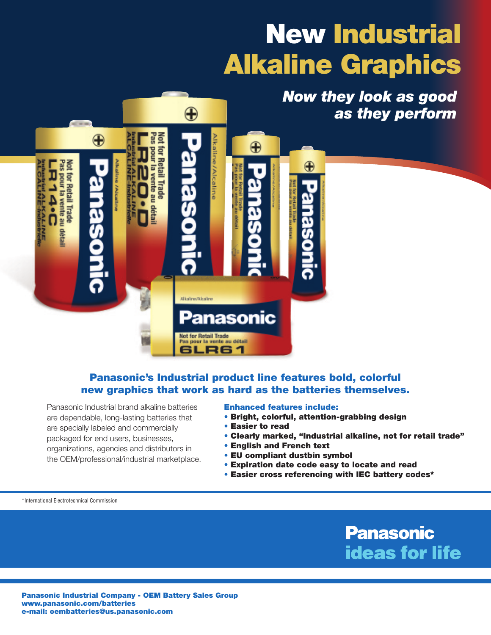# **New Industrial Alkaline Graphics**

*Now they look as good as they perform*



#### **Panasonic's Industrial product line features bold, colorful new graphics that work as hard as the batteries themselves.**

Panasonic Industrial brand alkaline batteries are dependable, long-lasting batteries that are specially labeled and commercially packaged for end users, businesses, organizations, agencies and distributors in the OEM/professional/industrial marketplace.

#### **Enhanced features include:**

- **• Bright, colorful, attention-grabbing design**
- **• Easier to read**
- **• Clearly marked, "Industrial alkaline, not for retail trade"**
- **• English and French text**
- **• EU compliant dustbin symbol**
- **• Expiration date code easy to locate and read**
- **• Easier cross referencing with IEC battery codes\***

\*International Electrotechnical Commission

**Panasonic ideas for life** 

**Panasonic Industrial Company - OEM Battery Sales Group www.panasonic.com/batteries e-mail: oembatteries@us.panasonic.com**